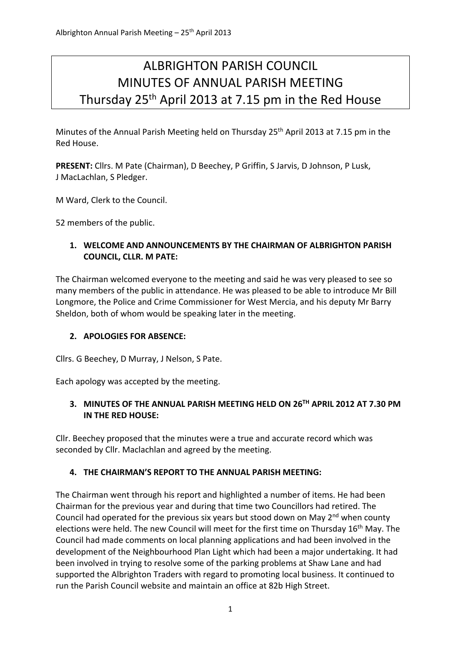# ALBRIGHTON PARISH COUNCIL MINUTES OF ANNUAL PARISH MEETING Thursday 25th April 2013 at 7.15 pm in the Red House

Minutes of the Annual Parish Meeting held on Thursday 25<sup>th</sup> April 2013 at 7.15 pm in the Red House.

**PRESENT:** Cllrs. M Pate (Chairman), D Beechey, P Griffin, S Jarvis, D Johnson, P Lusk, J MacLachlan, S Pledger.

M Ward, Clerk to the Council.

52 members of the public.

## **1. WELCOME AND ANNOUNCEMENTS BY THE CHAIRMAN OF ALBRIGHTON PARISH COUNCIL, CLLR. M PATE:**

The Chairman welcomed everyone to the meeting and said he was very pleased to see so many members of the public in attendance. He was pleased to be able to introduce Mr Bill Longmore, the Police and Crime Commissioner for West Mercia, and his deputy Mr Barry Sheldon, both of whom would be speaking later in the meeting.

# **2. APOLOGIES FOR ABSENCE:**

Cllrs. G Beechey, D Murray, J Nelson, S Pate.

Each apology was accepted by the meeting.

# **3. MINUTES OF THE ANNUAL PARISH MEETING HELD ON 26TH APRIL 2012 AT 7.30 PM IN THE RED HOUSE:**

Cllr. Beechey proposed that the minutes were a true and accurate record which was seconded by Cllr. Maclachlan and agreed by the meeting.

# **4. THE CHAIRMAN'S REPORT TO THE ANNUAL PARISH MEETING:**

The Chairman went through his report and highlighted a number of items. He had been Chairman for the previous year and during that time two Councillors had retired. The Council had operated for the previous six years but stood down on May  $2<sup>nd</sup>$  when county elections were held. The new Council will meet for the first time on Thursday 16<sup>th</sup> May. The Council had made comments on local planning applications and had been involved in the development of the Neighbourhood Plan Light which had been a major undertaking. It had been involved in trying to resolve some of the parking problems at Shaw Lane and had supported the Albrighton Traders with regard to promoting local business. It continued to run the Parish Council website and maintain an office at 82b High Street.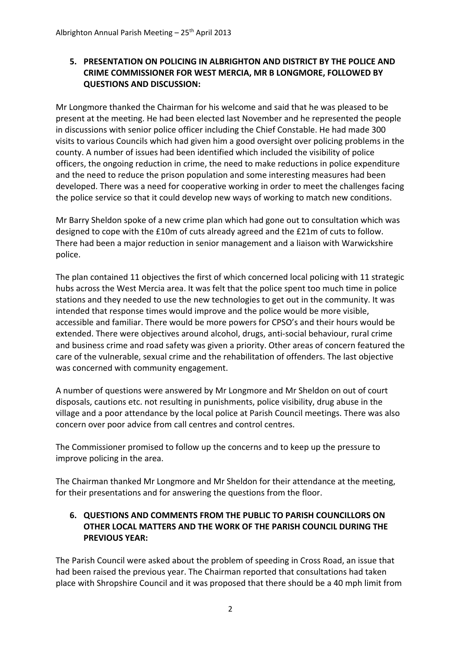### **5. PRESENTATION ON POLICING IN ALBRIGHTON AND DISTRICT BY THE POLICE AND CRIME COMMISSIONER FOR WEST MERCIA, MR B LONGMORE, FOLLOWED BY QUESTIONS AND DISCUSSION:**

Mr Longmore thanked the Chairman for his welcome and said that he was pleased to be present at the meeting. He had been elected last November and he represented the people in discussions with senior police officer including the Chief Constable. He had made 300 visits to various Councils which had given him a good oversight over policing problems in the county. A number of issues had been identified which included the visibility of police officers, the ongoing reduction in crime, the need to make reductions in police expenditure and the need to reduce the prison population and some interesting measures had been developed. There was a need for cooperative working in order to meet the challenges facing the police service so that it could develop new ways of working to match new conditions.

Mr Barry Sheldon spoke of a new crime plan which had gone out to consultation which was designed to cope with the £10m of cuts already agreed and the £21m of cuts to follow. There had been a major reduction in senior management and a liaison with Warwickshire police.

The plan contained 11 objectives the first of which concerned local policing with 11 strategic hubs across the West Mercia area. It was felt that the police spent too much time in police stations and they needed to use the new technologies to get out in the community. It was intended that response times would improve and the police would be more visible, accessible and familiar. There would be more powers for CPSO's and their hours would be extended. There were objectives around alcohol, drugs, anti‐social behaviour, rural crime and business crime and road safety was given a priority. Other areas of concern featured the care of the vulnerable, sexual crime and the rehabilitation of offenders. The last objective was concerned with community engagement.

A number of questions were answered by Mr Longmore and Mr Sheldon on out of court disposals, cautions etc. not resulting in punishments, police visibility, drug abuse in the village and a poor attendance by the local police at Parish Council meetings. There was also concern over poor advice from call centres and control centres.

The Commissioner promised to follow up the concerns and to keep up the pressure to improve policing in the area.

The Chairman thanked Mr Longmore and Mr Sheldon for their attendance at the meeting, for their presentations and for answering the questions from the floor.

## **6. QUESTIONS AND COMMENTS FROM THE PUBLIC TO PARISH COUNCILLORS ON OTHER LOCAL MATTERS AND THE WORK OF THE PARISH COUNCIL DURING THE PREVIOUS YEAR:**

The Parish Council were asked about the problem of speeding in Cross Road, an issue that had been raised the previous year. The Chairman reported that consultations had taken place with Shropshire Council and it was proposed that there should be a 40 mph limit from